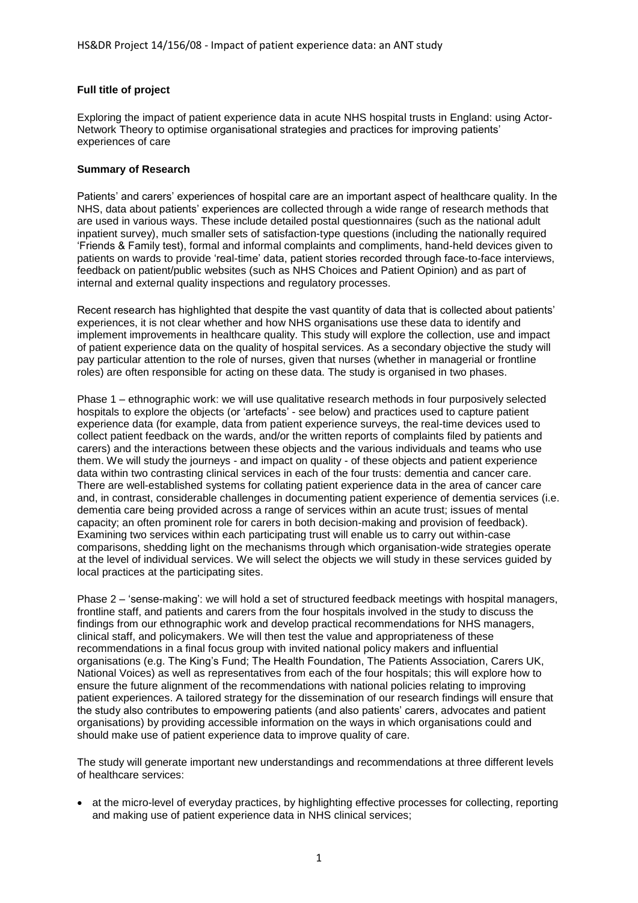## **Full title of project**

Exploring the impact of patient experience data in acute NHS hospital trusts in England: using Actor-Network Theory to optimise organisational strategies and practices for improving patients' experiences of care

## **Summary of Research**

Patients' and carers' experiences of hospital care are an important aspect of healthcare quality. In the NHS, data about patients' experiences are collected through a wide range of research methods that are used in various ways. These include detailed postal questionnaires (such as the national adult inpatient survey), much smaller sets of satisfaction-type questions (including the nationally required 'Friends & Family test), formal and informal complaints and compliments, hand-held devices given to patients on wards to provide 'real-time' data, patient stories recorded through face-to-face interviews, feedback on patient/public websites (such as NHS Choices and Patient Opinion) and as part of internal and external quality inspections and regulatory processes.

Recent research has highlighted that despite the vast quantity of data that is collected about patients' experiences, it is not clear whether and how NHS organisations use these data to identify and implement improvements in healthcare quality. This study will explore the collection, use and impact of patient experience data on the quality of hospital services. As a secondary objective the study will pay particular attention to the role of nurses, given that nurses (whether in managerial or frontline roles) are often responsible for acting on these data. The study is organised in two phases.

Phase 1 – ethnographic work: we will use qualitative research methods in four purposively selected hospitals to explore the objects (or 'artefacts' - see below) and practices used to capture patient experience data (for example, data from patient experience surveys, the real-time devices used to collect patient feedback on the wards, and/or the written reports of complaints filed by patients and carers) and the interactions between these objects and the various individuals and teams who use them. We will study the journeys - and impact on quality - of these objects and patient experience data within two contrasting clinical services in each of the four trusts: dementia and cancer care. There are well-established systems for collating patient experience data in the area of cancer care and, in contrast, considerable challenges in documenting patient experience of dementia services (i.e. dementia care being provided across a range of services within an acute trust; issues of mental capacity; an often prominent role for carers in both decision-making and provision of feedback). Examining two services within each participating trust will enable us to carry out within-case comparisons, shedding light on the mechanisms through which organisation-wide strategies operate at the level of individual services. We will select the objects we will study in these services guided by local practices at the participating sites.

Phase 2 – 'sense-making': we will hold a set of structured feedback meetings with hospital managers, frontline staff, and patients and carers from the four hospitals involved in the study to discuss the findings from our ethnographic work and develop practical recommendations for NHS managers, clinical staff, and policymakers. We will then test the value and appropriateness of these recommendations in a final focus group with invited national policy makers and influential organisations (e.g. The King's Fund; The Health Foundation, The Patients Association, Carers UK, National Voices) as well as representatives from each of the four hospitals; this will explore how to ensure the future alignment of the recommendations with national policies relating to improving patient experiences. A tailored strategy for the dissemination of our research findings will ensure that the study also contributes to empowering patients (and also patients' carers, advocates and patient organisations) by providing accessible information on the ways in which organisations could and should make use of patient experience data to improve quality of care.

The study will generate important new understandings and recommendations at three different levels of healthcare services:

• at the micro-level of everyday practices, by highlighting effective processes for collecting, reporting and making use of patient experience data in NHS clinical services;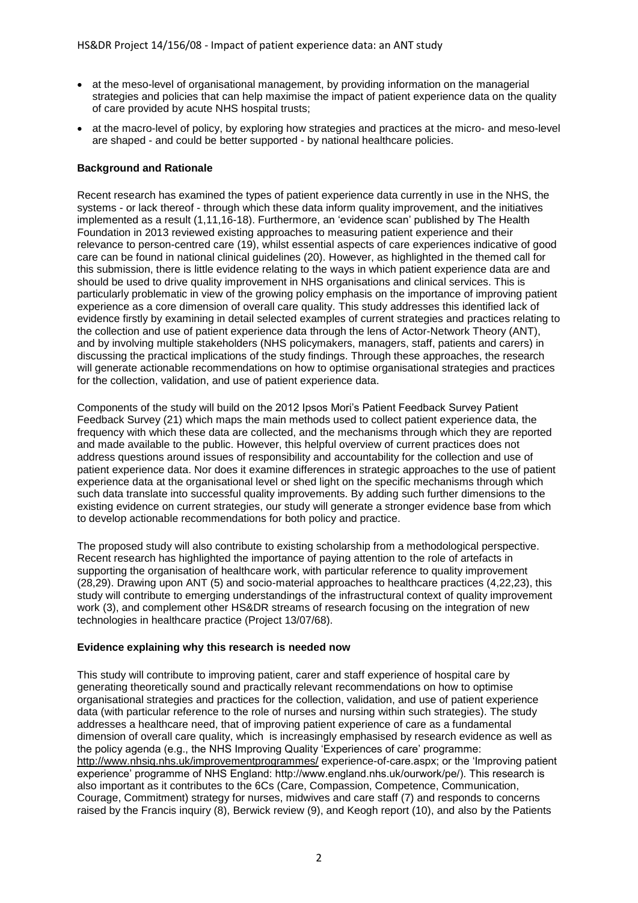- at the meso-level of organisational management, by providing information on the managerial strategies and policies that can help maximise the impact of patient experience data on the quality of care provided by acute NHS hospital trusts;
- at the macro-level of policy, by exploring how strategies and practices at the micro- and meso-level are shaped - and could be better supported - by national healthcare policies.

# **Background and Rationale**

Recent research has examined the types of patient experience data currently in use in the NHS, the systems - or lack thereof - through which these data inform quality improvement, and the initiatives implemented as a result (1,11,16-18). Furthermore, an 'evidence scan' published by The Health Foundation in 2013 reviewed existing approaches to measuring patient experience and their relevance to person-centred care (19), whilst essential aspects of care experiences indicative of good care can be found in national clinical guidelines (20). However, as highlighted in the themed call for this submission, there is little evidence relating to the ways in which patient experience data are and should be used to drive quality improvement in NHS organisations and clinical services. This is particularly problematic in view of the growing policy emphasis on the importance of improving patient experience as a core dimension of overall care quality. This study addresses this identified lack of evidence firstly by examining in detail selected examples of current strategies and practices relating to the collection and use of patient experience data through the lens of Actor-Network Theory (ANT), and by involving multiple stakeholders (NHS policymakers, managers, staff, patients and carers) in discussing the practical implications of the study findings. Through these approaches, the research will generate actionable recommendations on how to optimise organisational strategies and practices for the collection, validation, and use of patient experience data.

Components of the study will build on the 2012 Ipsos Mori's Patient Feedback Survey Patient Feedback Survey (21) which maps the main methods used to collect patient experience data, the frequency with which these data are collected, and the mechanisms through which they are reported and made available to the public. However, this helpful overview of current practices does not address questions around issues of responsibility and accountability for the collection and use of patient experience data. Nor does it examine differences in strategic approaches to the use of patient experience data at the organisational level or shed light on the specific mechanisms through which such data translate into successful quality improvements. By adding such further dimensions to the existing evidence on current strategies, our study will generate a stronger evidence base from which to develop actionable recommendations for both policy and practice.

The proposed study will also contribute to existing scholarship from a methodological perspective. Recent research has highlighted the importance of paying attention to the role of artefacts in supporting the organisation of healthcare work, with particular reference to quality improvement (28,29). Drawing upon ANT (5) and socio-material approaches to healthcare practices (4,22,23), this study will contribute to emerging understandings of the infrastructural context of quality improvement work (3), and complement other HS&DR streams of research focusing on the integration of new technologies in healthcare practice (Project 13/07/68).

# **Evidence explaining why this research is needed now**

This study will contribute to improving patient, carer and staff experience of hospital care by generating theoretically sound and practically relevant recommendations on how to optimise organisational strategies and practices for the collection, validation, and use of patient experience data (with particular reference to the role of nurses and nursing within such strategies). The study addresses a healthcare need, that of improving patient experience of care as a fundamental dimension of overall care quality, which is increasingly emphasised by research evidence as well as the policy agenda (e.g., the NHS Improving Quality 'Experiences of care' programme: <http://www.nhsiq.nhs.uk/improvementprogrammes/> experience-of-care.aspx; or the 'Improving patient experience' programme of NHS England: http://www.england.nhs.uk/ourwork/pe/). This research is also important as it contributes to the 6Cs (Care, Compassion, Competence, Communication, Courage, Commitment) strategy for nurses, midwives and care staff (7) and responds to concerns raised by the Francis inquiry (8), Berwick review (9), and Keogh report (10), and also by the Patients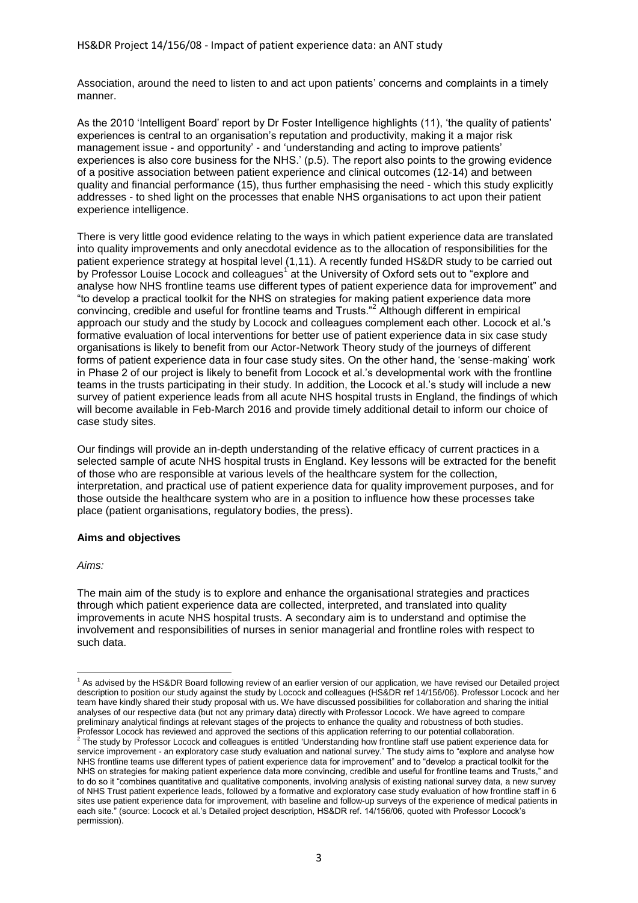Association, around the need to listen to and act upon patients' concerns and complaints in a timely manner.

As the 2010 'Intelligent Board' report by Dr Foster Intelligence highlights (11), 'the quality of patients' experiences is central to an organisation's reputation and productivity, making it a major risk management issue - and opportunity' - and 'understanding and acting to improve patients' experiences is also core business for the NHS.' (p.5). The report also points to the growing evidence of a positive association between patient experience and clinical outcomes (12-14) and between quality and financial performance (15), thus further emphasising the need - which this study explicitly addresses - to shed light on the processes that enable NHS organisations to act upon their patient experience intelligence.

There is very little good evidence relating to the ways in which patient experience data are translated into quality improvements and only anecdotal evidence as to the allocation of responsibilities for the patient experience strategy at hospital level (1,11). A recently funded HS&DR study to be carried out by Professor Louise Locock and colleagues<sup>1</sup> at the University of Oxford sets out to "explore and analyse how NHS frontline teams use different types of patient experience data for improvement" and "to develop a practical toolkit for the NHS on strategies for making patient experience data more convincing, credible and useful for frontline teams and Trusts."<sup>2</sup> Although different in empirical approach our study and the study by Locock and colleagues complement each other. Locock et al.'s formative evaluation of local interventions for better use of patient experience data in six case study organisations is likely to benefit from our Actor-Network Theory study of the journeys of different forms of patient experience data in four case study sites. On the other hand, the 'sense-making' work in Phase 2 of our project is likely to benefit from Locock et al.'s developmental work with the frontline teams in the trusts participating in their study. In addition, the Locock et al.'s study will include a new survey of patient experience leads from all acute NHS hospital trusts in England, the findings of which will become available in Feb-March 2016 and provide timely additional detail to inform our choice of case study sites.

Our findings will provide an in-depth understanding of the relative efficacy of current practices in a selected sample of acute NHS hospital trusts in England. Key lessons will be extracted for the benefit of those who are responsible at various levels of the healthcare system for the collection, interpretation, and practical use of patient experience data for quality improvement purposes, and for those outside the healthcare system who are in a position to influence how these processes take place (patient organisations, regulatory bodies, the press).

# **Aims and objectives**

# *Aims:*

The main aim of the study is to explore and enhance the organisational strategies and practices through which patient experience data are collected, interpreted, and translated into quality improvements in acute NHS hospital trusts. A secondary aim is to understand and optimise the involvement and responsibilities of nurses in senior managerial and frontline roles with respect to such data.

<sup>1</sup>  $<sup>1</sup>$  As advised by the HS&DR Board following review of an earlier version of our application, we have revised our Detailed project</sup> description to position our study against the study by Locock and colleagues (HS&DR ref 14/156/06). Professor Locock and her team have kindly shared their study proposal with us. We have discussed possibilities for collaboration and sharing the initial analyses of our respective data (but not any primary data) directly with Professor Locock. We have agreed to compare preliminary analytical findings at relevant stages of the projects to enhance the quality and robustness of both studies.

Professor Locock has reviewed and approved the sections of this application referring to our potential collaboration.<br><sup>2</sup> The study by Professor Locock and colleagues is entitled 'Understanding how frontline staff use pati service improvement - an exploratory case study evaluation and national survey.' The study aims to "explore and analyse how NHS frontline teams use different types of patient experience data for improvement" and to "develop a practical toolkit for the NHS on strategies for making patient experience data more convincing, credible and useful for frontline teams and Trusts," and to do so it "combines quantitative and qualitative components, involving analysis of existing national survey data, a new survey of NHS Trust patient experience leads, followed by a formative and exploratory case study evaluation of how frontline staff in 6 sites use patient experience data for improvement, with baseline and follow-up surveys of the experience of medical patients in each site." (source: Locock et al.'s Detailed project description, HS&DR ref. 14/156/06, quoted with Professor Locock's permission).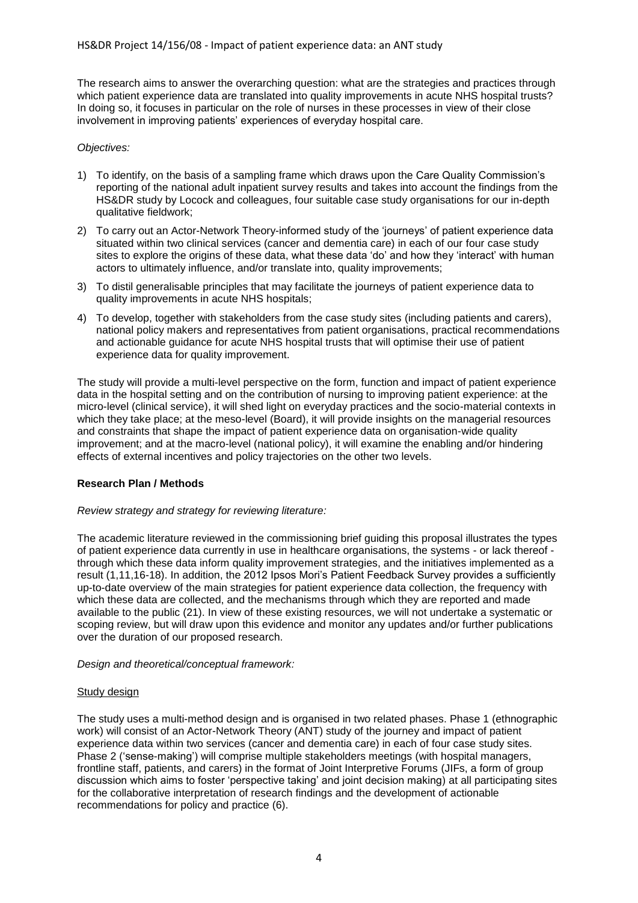The research aims to answer the overarching question: what are the strategies and practices through which patient experience data are translated into quality improvements in acute NHS hospital trusts? In doing so, it focuses in particular on the role of nurses in these processes in view of their close involvement in improving patients' experiences of everyday hospital care.

## *Objectives:*

- 1) To identify, on the basis of a sampling frame which draws upon the Care Quality Commission's reporting of the national adult inpatient survey results and takes into account the findings from the HS&DR study by Locock and colleagues, four suitable case study organisations for our in-depth qualitative fieldwork;
- 2) To carry out an Actor-Network Theory-informed study of the 'journeys' of patient experience data situated within two clinical services (cancer and dementia care) in each of our four case study sites to explore the origins of these data, what these data 'do' and how they 'interact' with human actors to ultimately influence, and/or translate into, quality improvements;
- 3) To distil generalisable principles that may facilitate the journeys of patient experience data to quality improvements in acute NHS hospitals;
- 4) To develop, together with stakeholders from the case study sites (including patients and carers), national policy makers and representatives from patient organisations, practical recommendations and actionable guidance for acute NHS hospital trusts that will optimise their use of patient experience data for quality improvement.

The study will provide a multi-level perspective on the form, function and impact of patient experience data in the hospital setting and on the contribution of nursing to improving patient experience: at the micro-level (clinical service), it will shed light on everyday practices and the socio-material contexts in which they take place; at the meso-level (Board), it will provide insights on the managerial resources and constraints that shape the impact of patient experience data on organisation-wide quality improvement; and at the macro-level (national policy), it will examine the enabling and/or hindering effects of external incentives and policy trajectories on the other two levels.

# **Research Plan / Methods**

# *Review strategy and strategy for reviewing literature:*

The academic literature reviewed in the commissioning brief guiding this proposal illustrates the types of patient experience data currently in use in healthcare organisations, the systems - or lack thereof through which these data inform quality improvement strategies, and the initiatives implemented as a result (1,11,16-18). In addition, the 2012 Ipsos Mori's Patient Feedback Survey provides a sufficiently up-to-date overview of the main strategies for patient experience data collection, the frequency with which these data are collected, and the mechanisms through which they are reported and made available to the public (21). In view of these existing resources, we will not undertake a systematic or scoping review, but will draw upon this evidence and monitor any updates and/or further publications over the duration of our proposed research.

## *Design and theoretical/conceptual framework:*

## Study design

The study uses a multi-method design and is organised in two related phases. Phase 1 (ethnographic work) will consist of an Actor-Network Theory (ANT) study of the journey and impact of patient experience data within two services (cancer and dementia care) in each of four case study sites. Phase 2 ('sense-making') will comprise multiple stakeholders meetings (with hospital managers, frontline staff, patients, and carers) in the format of Joint Interpretive Forums (JIFs, a form of group discussion which aims to foster 'perspective taking' and joint decision making) at all participating sites for the collaborative interpretation of research findings and the development of actionable recommendations for policy and practice (6).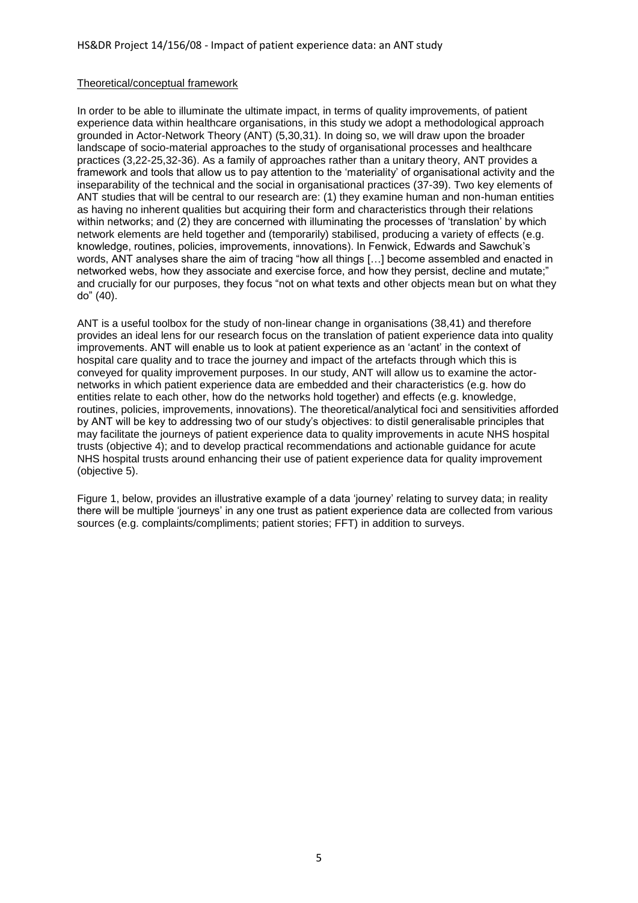## Theoretical/conceptual framework

In order to be able to illuminate the ultimate impact, in terms of quality improvements, of patient experience data within healthcare organisations, in this study we adopt a methodological approach grounded in Actor-Network Theory (ANT) (5,30,31). In doing so, we will draw upon the broader landscape of socio-material approaches to the study of organisational processes and healthcare practices (3,22-25,32-36). As a family of approaches rather than a unitary theory, ANT provides a framework and tools that allow us to pay attention to the 'materiality' of organisational activity and the inseparability of the technical and the social in organisational practices (37-39). Two key elements of ANT studies that will be central to our research are: (1) they examine human and non-human entities as having no inherent qualities but acquiring their form and characteristics through their relations within networks; and (2) they are concerned with illuminating the processes of 'translation' by which network elements are held together and (temporarily) stabilised, producing a variety of effects (e.g. knowledge, routines, policies, improvements, innovations). In Fenwick, Edwards and Sawchuk's words, ANT analyses share the aim of tracing "how all things […] become assembled and enacted in networked webs, how they associate and exercise force, and how they persist, decline and mutate;" and crucially for our purposes, they focus "not on what texts and other objects mean but on what they do" (40).

ANT is a useful toolbox for the study of non-linear change in organisations (38,41) and therefore provides an ideal lens for our research focus on the translation of patient experience data into quality improvements. ANT will enable us to look at patient experience as an 'actant' in the context of hospital care quality and to trace the journey and impact of the artefacts through which this is conveyed for quality improvement purposes. In our study, ANT will allow us to examine the actornetworks in which patient experience data are embedded and their characteristics (e.g. how do entities relate to each other, how do the networks hold together) and effects (e.g. knowledge, routines, policies, improvements, innovations). The theoretical/analytical foci and sensitivities afforded by ANT will be key to addressing two of our study's objectives: to distil generalisable principles that may facilitate the journeys of patient experience data to quality improvements in acute NHS hospital trusts (objective 4); and to develop practical recommendations and actionable guidance for acute NHS hospital trusts around enhancing their use of patient experience data for quality improvement (objective 5).

Figure 1, below, provides an illustrative example of a data 'journey' relating to survey data; in reality there will be multiple 'journeys' in any one trust as patient experience data are collected from various sources (e.g. complaints/compliments; patient stories; FFT) in addition to surveys.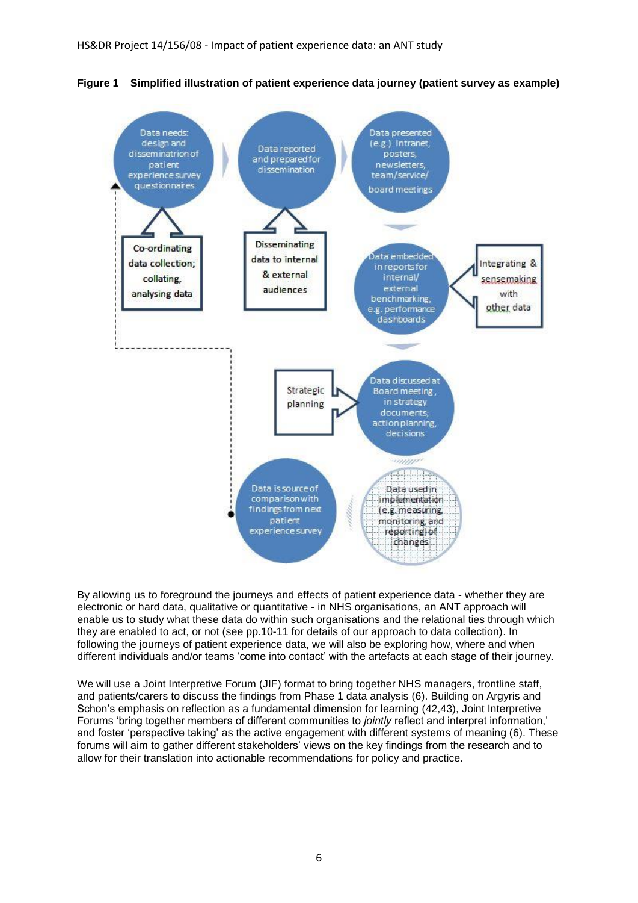

**Figure 1 Simplified illustration of patient experience data journey (patient survey as example)**

By allowing us to foreground the journeys and effects of patient experience data - whether they are electronic or hard data, qualitative or quantitative - in NHS organisations, an ANT approach will enable us to study what these data do within such organisations and the relational ties through which they are enabled to act, or not (see pp.10-11 for details of our approach to data collection). In following the journeys of patient experience data, we will also be exploring how, where and when different individuals and/or teams 'come into contact' with the artefacts at each stage of their journey.

We will use a Joint Interpretive Forum (JIF) format to bring together NHS managers, frontline staff, and patients/carers to discuss the findings from Phase 1 data analysis (6). Building on Argyris and Schon's emphasis on reflection as a fundamental dimension for learning (42,43), Joint Interpretive Forums 'bring together members of different communities to *jointly* reflect and interpret information,' and foster 'perspective taking' as the active engagement with different systems of meaning (6). These forums will aim to gather different stakeholders' views on the key findings from the research and to allow for their translation into actionable recommendations for policy and practice.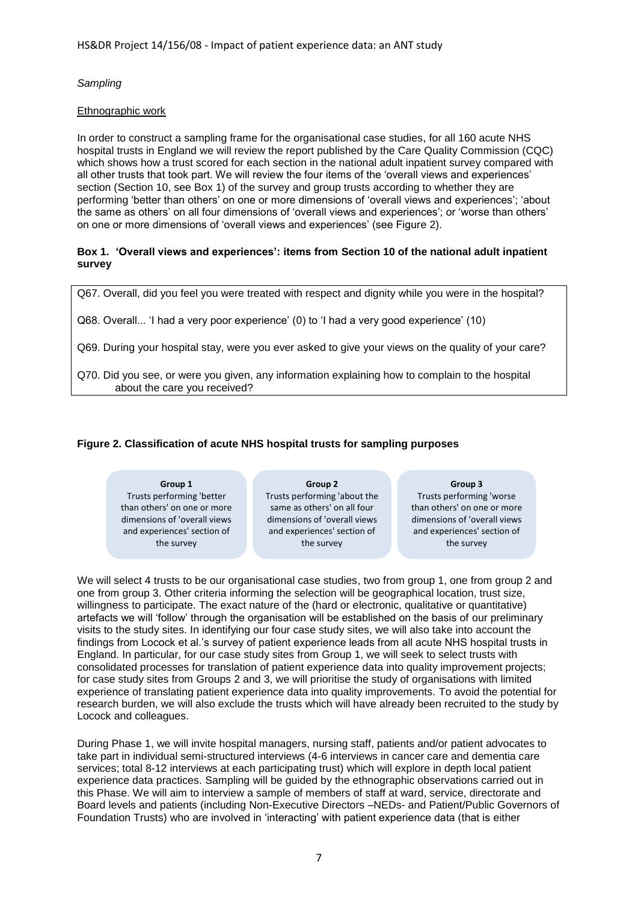*Sampling*

# Ethnographic work

In order to construct a sampling frame for the organisational case studies, for all 160 acute NHS hospital trusts in England we will review the report published by the Care Quality Commission (CQC) which shows how a trust scored for each section in the national adult inpatient survey compared with all other trusts that took part. We will review the four items of the 'overall views and experiences' section (Section 10, see Box 1) of the survey and group trusts according to whether they are performing 'better than others' on one or more dimensions of 'overall views and experiences'; 'about the same as others' on all four dimensions of 'overall views and experiences'; or 'worse than others' on one or more dimensions of 'overall views and experiences' (see Figure 2).

## **Box 1. 'Overall views and experiences': items from Section 10 of the national adult inpatient survey**

Q67. Overall, did you feel you were treated with respect and dignity while you were in the hospital?

Q68. Overall... 'I had a very poor experience' (0) to 'I had a very good experience' (10)

Q69. During your hospital stay, were you ever asked to give your views on the quality of your care?

Q70. Did you see, or were you given, any information explaining how to complain to the hospital about the care you received?

# **Figure 2. Classification of acute NHS hospital trusts for sampling purposes**

**Group 1** Trusts performing 'better than others' on one or more dimensions of 'overall views and experiences' section of the survey

**Group 2** Trusts performing 'about the same as others' on all four dimensions of 'overall views and experiences' section of the survey

**Group 3**

Trusts performing 'worse than others' on one or more dimensions of 'overall views and experiences' section of the survey

We will select 4 trusts to be our organisational case studies, two from group 1, one from group 2 and one from group 3. Other criteria informing the selection will be geographical location, trust size, willingness to participate. The exact nature of the (hard or electronic, qualitative or quantitative) artefacts we will 'follow' through the organisation will be established on the basis of our preliminary visits to the study sites. In identifying our four case study sites, we will also take into account the findings from Locock et al.'s survey of patient experience leads from all acute NHS hospital trusts in England. In particular, for our case study sites from Group 1, we will seek to select trusts with consolidated processes for translation of patient experience data into quality improvement projects; for case study sites from Groups 2 and 3, we will prioritise the study of organisations with limited experience of translating patient experience data into quality improvements. To avoid the potential for research burden, we will also exclude the trusts which will have already been recruited to the study by Locock and colleagues.

During Phase 1, we will invite hospital managers, nursing staff, patients and/or patient advocates to take part in individual semi-structured interviews (4-6 interviews in cancer care and dementia care services; total 8-12 interviews at each participating trust) which will explore in depth local patient experience data practices. Sampling will be guided by the ethnographic observations carried out in this Phase. We will aim to interview a sample of members of staff at ward, service, directorate and Board levels and patients (including Non-Executive Directors –NEDs- and Patient/Public Governors of Foundation Trusts) who are involved in 'interacting' with patient experience data (that is either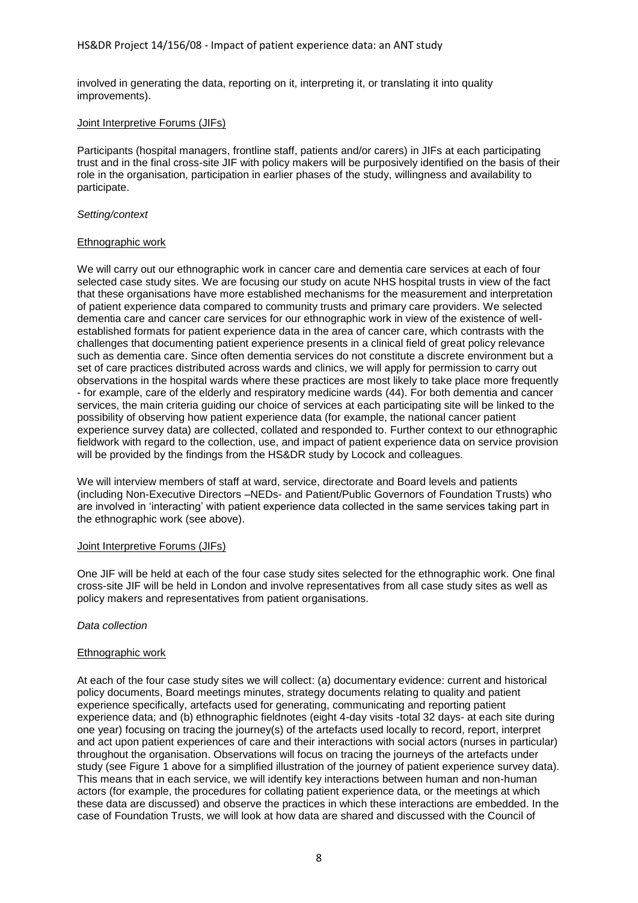involved in generating the data, reporting on it, interpreting it, or translating it into quality improvements).

## Joint Interpretive Forums (JIFs)

Participants (hospital managers, frontline staff, patients and/or carers) in JIFs at each participating trust and in the final cross-site JIF with policy makers will be purposively identified on the basis of their role in the organisation, participation in earlier phases of the study, willingness and availability to participate.

## *Setting/context*

## Ethnographic work

We will carry out our ethnographic work in cancer care and dementia care services at each of four selected case study sites. We are focusing our study on acute NHS hospital trusts in view of the fact that these organisations have more established mechanisms for the measurement and interpretation of patient experience data compared to community trusts and primary care providers. We selected dementia care and cancer care services for our ethnographic work in view of the existence of wellestablished formats for patient experience data in the area of cancer care, which contrasts with the challenges that documenting patient experience presents in a clinical field of great policy relevance such as dementia care. Since often dementia services do not constitute a discrete environment but a set of care practices distributed across wards and clinics, we will apply for permission to carry out observations in the hospital wards where these practices are most likely to take place more frequently - for example, care of the elderly and respiratory medicine wards (44). For both dementia and cancer services, the main criteria guiding our choice of services at each participating site will be linked to the possibility of observing how patient experience data (for example, the national cancer patient experience survey data) are collected, collated and responded to. Further context to our ethnographic fieldwork with regard to the collection, use, and impact of patient experience data on service provision will be provided by the findings from the HS&DR study by Locock and colleagues.

We will interview members of staff at ward, service, directorate and Board levels and patients (including Non-Executive Directors –NEDs- and Patient/Public Governors of Foundation Trusts) who are involved in 'interacting' with patient experience data collected in the same services taking part in the ethnographic work (see above).

## Joint Interpretive Forums (JIFs)

One JIF will be held at each of the four case study sites selected for the ethnographic work. One final cross-site JIF will be held in London and involve representatives from all case study sites as well as policy makers and representatives from patient organisations.

## *Data collection*

## Ethnographic work

At each of the four case study sites we will collect: (a) documentary evidence: current and historical policy documents, Board meetings minutes, strategy documents relating to quality and patient experience specifically, artefacts used for generating, communicating and reporting patient experience data; and (b) ethnographic fieldnotes (eight 4-day visits -total 32 days- at each site during one year) focusing on tracing the journey(s) of the artefacts used locally to record, report, interpret and act upon patient experiences of care and their interactions with social actors (nurses in particular) throughout the organisation. Observations will focus on tracing the journeys of the artefacts under study (see Figure 1 above for a simplified illustration of the journey of patient experience survey data). This means that in each service, we will identify key interactions between human and non-human actors (for example, the procedures for collating patient experience data, or the meetings at which these data are discussed) and observe the practices in which these interactions are embedded. In the case of Foundation Trusts, we will look at how data are shared and discussed with the Council of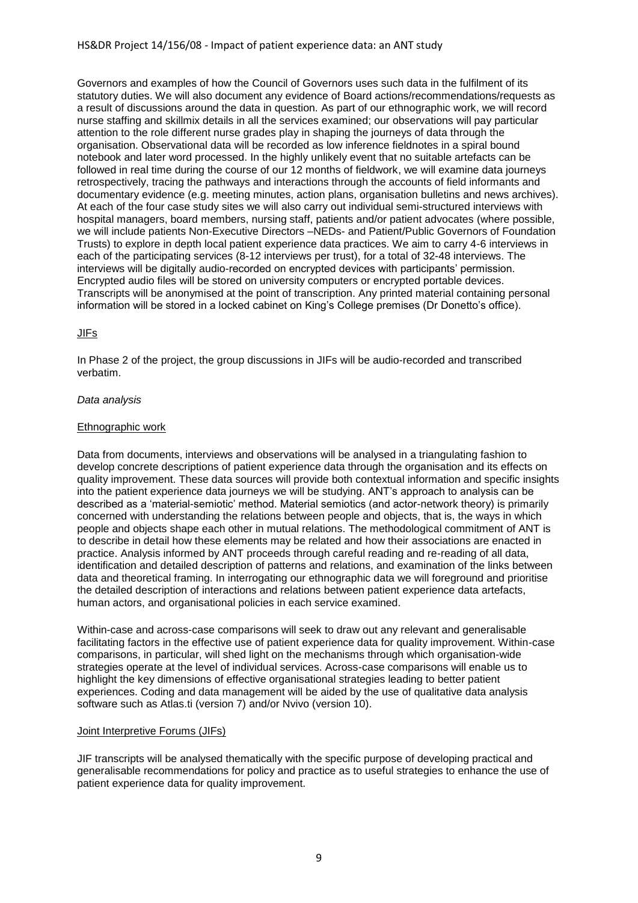## HS&DR Project 14/156/08 - Impact of patient experience data: an ANT study

Governors and examples of how the Council of Governors uses such data in the fulfilment of its statutory duties. We will also document any evidence of Board actions/recommendations/requests as a result of discussions around the data in question. As part of our ethnographic work, we will record nurse staffing and skillmix details in all the services examined; our observations will pay particular attention to the role different nurse grades play in shaping the journeys of data through the organisation. Observational data will be recorded as low inference fieldnotes in a spiral bound notebook and later word processed. In the highly unlikely event that no suitable artefacts can be followed in real time during the course of our 12 months of fieldwork, we will examine data journeys retrospectively, tracing the pathways and interactions through the accounts of field informants and documentary evidence (e.g. meeting minutes, action plans, organisation bulletins and news archives). At each of the four case study sites we will also carry out individual semi-structured interviews with hospital managers, board members, nursing staff, patients and/or patient advocates (where possible, we will include patients Non-Executive Directors –NEDs- and Patient/Public Governors of Foundation Trusts) to explore in depth local patient experience data practices. We aim to carry 4-6 interviews in each of the participating services (8-12 interviews per trust), for a total of 32-48 interviews. The interviews will be digitally audio-recorded on encrypted devices with participants' permission. Encrypted audio files will be stored on university computers or encrypted portable devices. Transcripts will be anonymised at the point of transcription. Any printed material containing personal information will be stored in a locked cabinet on King's College premises (Dr Donetto's office).

## JIFs

In Phase 2 of the project, the group discussions in JIFs will be audio-recorded and transcribed verbatim.

## *Data analysis*

## Ethnographic work

Data from documents, interviews and observations will be analysed in a triangulating fashion to develop concrete descriptions of patient experience data through the organisation and its effects on quality improvement. These data sources will provide both contextual information and specific insights into the patient experience data journeys we will be studying. ANT's approach to analysis can be described as a 'material-semiotic' method. Material semiotics (and actor-network theory) is primarily concerned with understanding the relations between people and objects, that is, the ways in which people and objects shape each other in mutual relations. The methodological commitment of ANT is to describe in detail how these elements may be related and how their associations are enacted in practice. Analysis informed by ANT proceeds through careful reading and re-reading of all data, identification and detailed description of patterns and relations, and examination of the links between data and theoretical framing. In interrogating our ethnographic data we will foreground and prioritise the detailed description of interactions and relations between patient experience data artefacts, human actors, and organisational policies in each service examined.

Within-case and across-case comparisons will seek to draw out any relevant and generalisable facilitating factors in the effective use of patient experience data for quality improvement. Within-case comparisons, in particular, will shed light on the mechanisms through which organisation-wide strategies operate at the level of individual services. Across-case comparisons will enable us to highlight the key dimensions of effective organisational strategies leading to better patient experiences. Coding and data management will be aided by the use of qualitative data analysis software such as Atlas.ti (version 7) and/or Nvivo (version 10).

## Joint Interpretive Forums (JIFs)

JIF transcripts will be analysed thematically with the specific purpose of developing practical and generalisable recommendations for policy and practice as to useful strategies to enhance the use of patient experience data for quality improvement.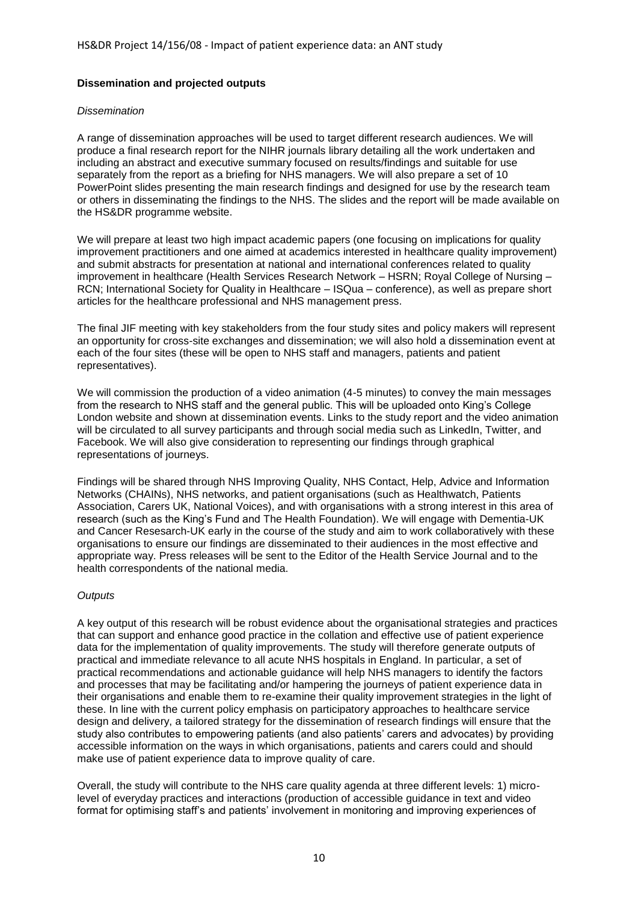## **Dissemination and projected outputs**

## *Dissemination*

A range of dissemination approaches will be used to target different research audiences. We will produce a final research report for the NIHR journals library detailing all the work undertaken and including an abstract and executive summary focused on results/findings and suitable for use separately from the report as a briefing for NHS managers. We will also prepare a set of 10 PowerPoint slides presenting the main research findings and designed for use by the research team or others in disseminating the findings to the NHS. The slides and the report will be made available on the HS&DR programme website.

We will prepare at least two high impact academic papers (one focusing on implications for quality improvement practitioners and one aimed at academics interested in healthcare quality improvement) and submit abstracts for presentation at national and international conferences related to quality improvement in healthcare (Health Services Research Network – HSRN; Royal College of Nursing – RCN; International Society for Quality in Healthcare – ISQua – conference), as well as prepare short articles for the healthcare professional and NHS management press.

The final JIF meeting with key stakeholders from the four study sites and policy makers will represent an opportunity for cross-site exchanges and dissemination; we will also hold a dissemination event at each of the four sites (these will be open to NHS staff and managers, patients and patient representatives).

We will commission the production of a video animation (4-5 minutes) to convey the main messages from the research to NHS staff and the general public. This will be uploaded onto King's College London website and shown at dissemination events. Links to the study report and the video animation will be circulated to all survey participants and through social media such as LinkedIn, Twitter, and Facebook. We will also give consideration to representing our findings through graphical representations of journeys.

Findings will be shared through NHS Improving Quality, NHS Contact, Help, Advice and Information Networks (CHAINs), NHS networks, and patient organisations (such as Healthwatch, Patients Association, Carers UK, National Voices), and with organisations with a strong interest in this area of research (such as the King's Fund and The Health Foundation). We will engage with Dementia-UK and Cancer Resesarch-UK early in the course of the study and aim to work collaboratively with these organisations to ensure our findings are disseminated to their audiences in the most effective and appropriate way. Press releases will be sent to the Editor of the Health Service Journal and to the health correspondents of the national media.

## *Outputs*

A key output of this research will be robust evidence about the organisational strategies and practices that can support and enhance good practice in the collation and effective use of patient experience data for the implementation of quality improvements. The study will therefore generate outputs of practical and immediate relevance to all acute NHS hospitals in England. In particular, a set of practical recommendations and actionable guidance will help NHS managers to identify the factors and processes that may be facilitating and/or hampering the journeys of patient experience data in their organisations and enable them to re-examine their quality improvement strategies in the light of these. In line with the current policy emphasis on participatory approaches to healthcare service design and delivery, a tailored strategy for the dissemination of research findings will ensure that the study also contributes to empowering patients (and also patients' carers and advocates) by providing accessible information on the ways in which organisations, patients and carers could and should make use of patient experience data to improve quality of care.

Overall, the study will contribute to the NHS care quality agenda at three different levels: 1) microlevel of everyday practices and interactions (production of accessible guidance in text and video format for optimising staff's and patients' involvement in monitoring and improving experiences of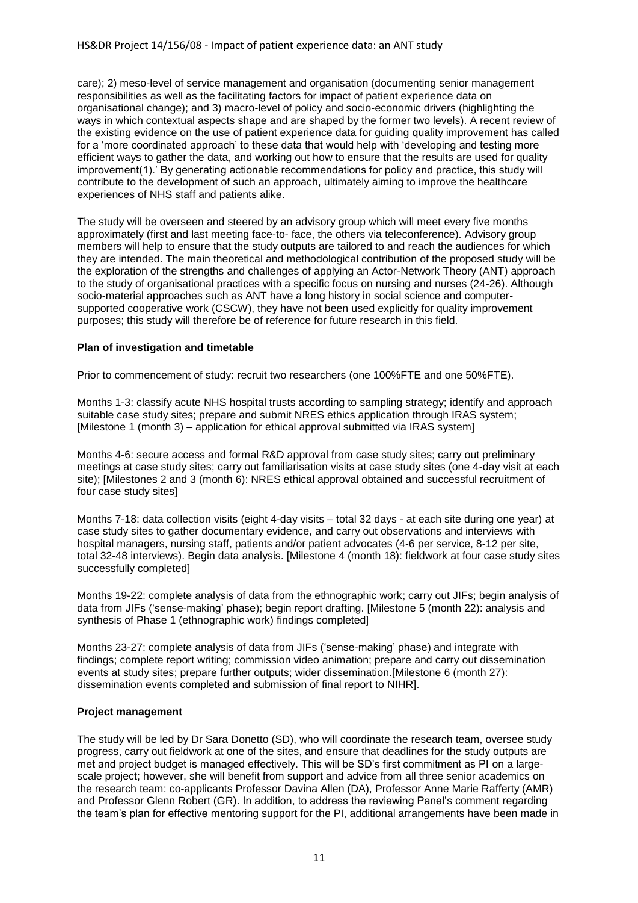care); 2) meso-level of service management and organisation (documenting senior management responsibilities as well as the facilitating factors for impact of patient experience data on organisational change); and 3) macro-level of policy and socio-economic drivers (highlighting the ways in which contextual aspects shape and are shaped by the former two levels). A recent review of the existing evidence on the use of patient experience data for guiding quality improvement has called for a 'more coordinated approach' to these data that would help with 'developing and testing more efficient ways to gather the data, and working out how to ensure that the results are used for quality improvement(1).' By generating actionable recommendations for policy and practice, this study will contribute to the development of such an approach, ultimately aiming to improve the healthcare experiences of NHS staff and patients alike.

The study will be overseen and steered by an advisory group which will meet every five months approximately (first and last meeting face-to- face, the others via teleconference). Advisory group members will help to ensure that the study outputs are tailored to and reach the audiences for which they are intended. The main theoretical and methodological contribution of the proposed study will be the exploration of the strengths and challenges of applying an Actor-Network Theory (ANT) approach to the study of organisational practices with a specific focus on nursing and nurses (24-26). Although socio-material approaches such as ANT have a long history in social science and computersupported cooperative work (CSCW), they have not been used explicitly for quality improvement purposes; this study will therefore be of reference for future research in this field.

## **Plan of investigation and timetable**

Prior to commencement of study: recruit two researchers (one 100%FTE and one 50%FTE).

Months 1-3: classify acute NHS hospital trusts according to sampling strategy; identify and approach suitable case study sites; prepare and submit NRES ethics application through IRAS system; [Milestone 1 (month 3) – application for ethical approval submitted via IRAS system]

Months 4-6: secure access and formal R&D approval from case study sites; carry out preliminary meetings at case study sites; carry out familiarisation visits at case study sites (one 4-day visit at each site); [Milestones 2 and 3 (month 6): NRES ethical approval obtained and successful recruitment of four case study sites]

Months 7-18: data collection visits (eight 4-day visits – total 32 days - at each site during one year) at case study sites to gather documentary evidence, and carry out observations and interviews with hospital managers, nursing staff, patients and/or patient advocates (4-6 per service, 8-12 per site, total 32-48 interviews). Begin data analysis. [Milestone 4 (month 18): fieldwork at four case study sites successfully completed]

Months 19-22: complete analysis of data from the ethnographic work; carry out JIFs; begin analysis of data from JIFs ('sense-making' phase); begin report drafting. [Milestone 5 (month 22): analysis and synthesis of Phase 1 (ethnographic work) findings completed]

Months 23-27: complete analysis of data from JIFs ('sense-making' phase) and integrate with findings; complete report writing; commission video animation; prepare and carry out dissemination events at study sites; prepare further outputs; wider dissemination.[Milestone 6 (month 27): dissemination events completed and submission of final report to NIHR].

## **Project management**

The study will be led by Dr Sara Donetto (SD), who will coordinate the research team, oversee study progress, carry out fieldwork at one of the sites, and ensure that deadlines for the study outputs are met and project budget is managed effectively. This will be SD's first commitment as PI on a largescale project; however, she will benefit from support and advice from all three senior academics on the research team: co-applicants Professor Davina Allen (DA), Professor Anne Marie Rafferty (AMR) and Professor Glenn Robert (GR). In addition, to address the reviewing Panel's comment regarding the team's plan for effective mentoring support for the PI, additional arrangements have been made in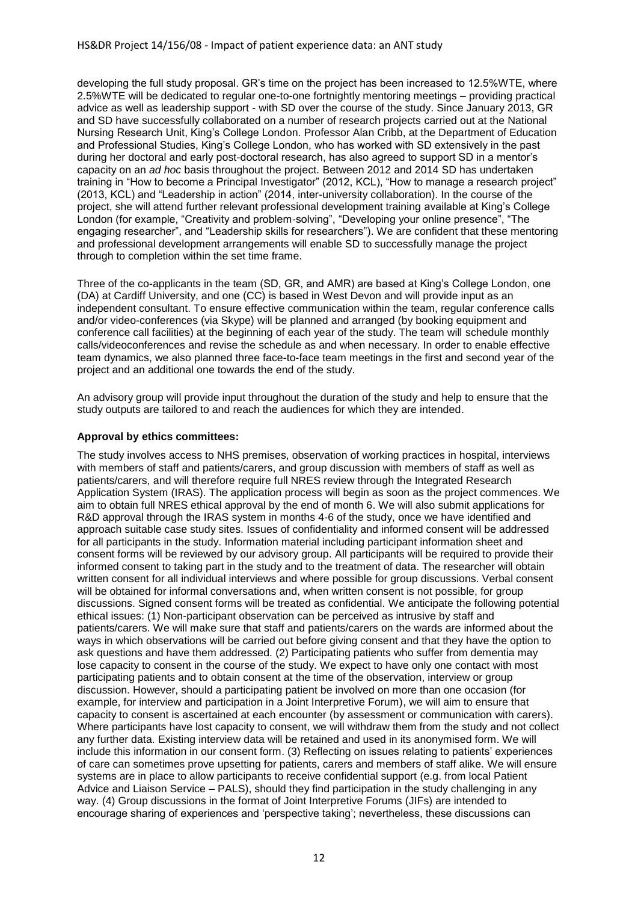developing the full study proposal. GR's time on the project has been increased to 12.5%WTE, where 2.5%WTE will be dedicated to regular one-to-one fortnightly mentoring meetings – providing practical advice as well as leadership support - with SD over the course of the study. Since January 2013, GR and SD have successfully collaborated on a number of research projects carried out at the National Nursing Research Unit, King's College London. Professor Alan Cribb, at the Department of Education and Professional Studies, King's College London, who has worked with SD extensively in the past during her doctoral and early post-doctoral research, has also agreed to support SD in a mentor's capacity on an *ad hoc* basis throughout the project. Between 2012 and 2014 SD has undertaken training in "How to become a Principal Investigator" (2012, KCL), "How to manage a research project" (2013, KCL) and "Leadership in action" (2014, inter-university collaboration). In the course of the project, she will attend further relevant professional development training available at King's College London (for example, "Creativity and problem-solving", "Developing your online presence", "The engaging researcher", and "Leadership skills for researchers"). We are confident that these mentoring and professional development arrangements will enable SD to successfully manage the project through to completion within the set time frame.

Three of the co-applicants in the team (SD, GR, and AMR) are based at King's College London, one (DA) at Cardiff University, and one (CC) is based in West Devon and will provide input as an independent consultant. To ensure effective communication within the team, regular conference calls and/or video-conferences (via Skype) will be planned and arranged (by booking equipment and conference call facilities) at the beginning of each year of the study. The team will schedule monthly calls/videoconferences and revise the schedule as and when necessary. In order to enable effective team dynamics, we also planned three face-to-face team meetings in the first and second year of the project and an additional one towards the end of the study.

An advisory group will provide input throughout the duration of the study and help to ensure that the study outputs are tailored to and reach the audiences for which they are intended.

# **Approval by ethics committees:**

The study involves access to NHS premises, observation of working practices in hospital, interviews with members of staff and patients/carers, and group discussion with members of staff as well as patients/carers, and will therefore require full NRES review through the Integrated Research Application System (IRAS). The application process will begin as soon as the project commences. We aim to obtain full NRES ethical approval by the end of month 6. We will also submit applications for R&D approval through the IRAS system in months 4-6 of the study, once we have identified and approach suitable case study sites. Issues of confidentiality and informed consent will be addressed for all participants in the study. Information material including participant information sheet and consent forms will be reviewed by our advisory group. All participants will be required to provide their informed consent to taking part in the study and to the treatment of data. The researcher will obtain written consent for all individual interviews and where possible for group discussions. Verbal consent will be obtained for informal conversations and, when written consent is not possible, for group discussions. Signed consent forms will be treated as confidential. We anticipate the following potential ethical issues: (1) Non-participant observation can be perceived as intrusive by staff and patients/carers. We will make sure that staff and patients/carers on the wards are informed about the ways in which observations will be carried out before giving consent and that they have the option to ask questions and have them addressed. (2) Participating patients who suffer from dementia may lose capacity to consent in the course of the study. We expect to have only one contact with most participating patients and to obtain consent at the time of the observation, interview or group discussion. However, should a participating patient be involved on more than one occasion (for example, for interview and participation in a Joint Interpretive Forum), we will aim to ensure that capacity to consent is ascertained at each encounter (by assessment or communication with carers). Where participants have lost capacity to consent, we will withdraw them from the study and not collect any further data. Existing interview data will be retained and used in its anonymised form. We will include this information in our consent form. (3) Reflecting on issues relating to patients' experiences of care can sometimes prove upsetting for patients, carers and members of staff alike. We will ensure systems are in place to allow participants to receive confidential support (e.g. from local Patient Advice and Liaison Service – PALS), should they find participation in the study challenging in any way. (4) Group discussions in the format of Joint Interpretive Forums (JIFs) are intended to encourage sharing of experiences and 'perspective taking'; nevertheless, these discussions can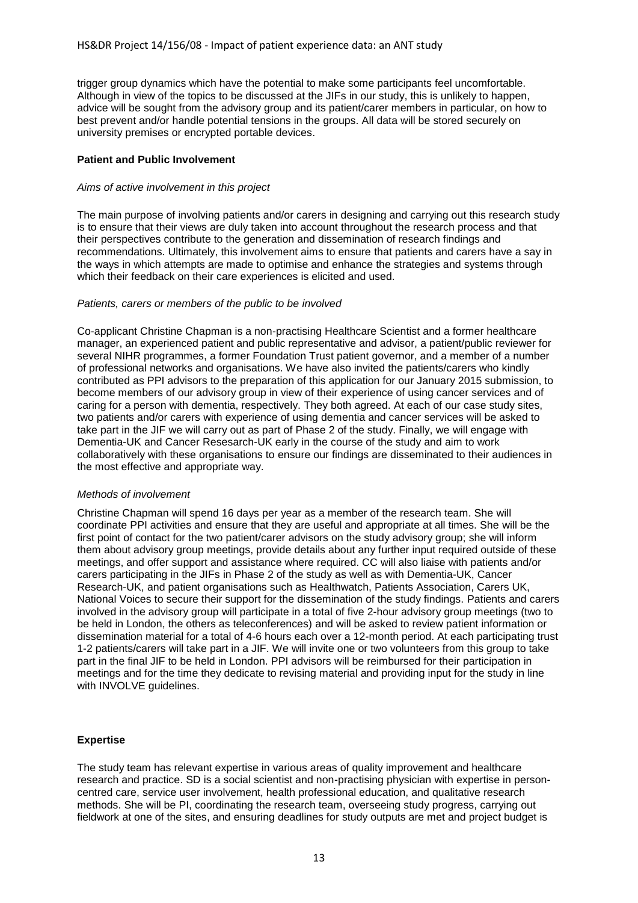trigger group dynamics which have the potential to make some participants feel uncomfortable. Although in view of the topics to be discussed at the JIFs in our study, this is unlikely to happen, advice will be sought from the advisory group and its patient/carer members in particular, on how to best prevent and/or handle potential tensions in the groups. All data will be stored securely on university premises or encrypted portable devices.

## **Patient and Public Involvement**

## *Aims of active involvement in this project*

The main purpose of involving patients and/or carers in designing and carrying out this research study is to ensure that their views are duly taken into account throughout the research process and that their perspectives contribute to the generation and dissemination of research findings and recommendations. Ultimately, this involvement aims to ensure that patients and carers have a say in the ways in which attempts are made to optimise and enhance the strategies and systems through which their feedback on their care experiences is elicited and used.

## *Patients, carers or members of the public to be involved*

Co-applicant Christine Chapman is a non-practising Healthcare Scientist and a former healthcare manager, an experienced patient and public representative and advisor, a patient/public reviewer for several NIHR programmes, a former Foundation Trust patient governor, and a member of a number of professional networks and organisations. We have also invited the patients/carers who kindly contributed as PPI advisors to the preparation of this application for our January 2015 submission, to become members of our advisory group in view of their experience of using cancer services and of caring for a person with dementia, respectively. They both agreed. At each of our case study sites, two patients and/or carers with experience of using dementia and cancer services will be asked to take part in the JIF we will carry out as part of Phase 2 of the study. Finally, we will engage with Dementia-UK and Cancer Resesarch-UK early in the course of the study and aim to work collaboratively with these organisations to ensure our findings are disseminated to their audiences in the most effective and appropriate way.

## *Methods of involvement*

Christine Chapman will spend 16 days per year as a member of the research team. She will coordinate PPI activities and ensure that they are useful and appropriate at all times. She will be the first point of contact for the two patient/carer advisors on the study advisory group; she will inform them about advisory group meetings, provide details about any further input required outside of these meetings, and offer support and assistance where required. CC will also liaise with patients and/or carers participating in the JIFs in Phase 2 of the study as well as with Dementia-UK, Cancer Research-UK, and patient organisations such as Healthwatch, Patients Association, Carers UK, National Voices to secure their support for the dissemination of the study findings. Patients and carers involved in the advisory group will participate in a total of five 2-hour advisory group meetings (two to be held in London, the others as teleconferences) and will be asked to review patient information or dissemination material for a total of 4-6 hours each over a 12-month period. At each participating trust 1-2 patients/carers will take part in a JIF. We will invite one or two volunteers from this group to take part in the final JIF to be held in London. PPI advisors will be reimbursed for their participation in meetings and for the time they dedicate to revising material and providing input for the study in line with INVOLVE guidelines.

# **Expertise**

The study team has relevant expertise in various areas of quality improvement and healthcare research and practice. SD is a social scientist and non-practising physician with expertise in personcentred care, service user involvement, health professional education, and qualitative research methods. She will be PI, coordinating the research team, overseeing study progress, carrying out fieldwork at one of the sites, and ensuring deadlines for study outputs are met and project budget is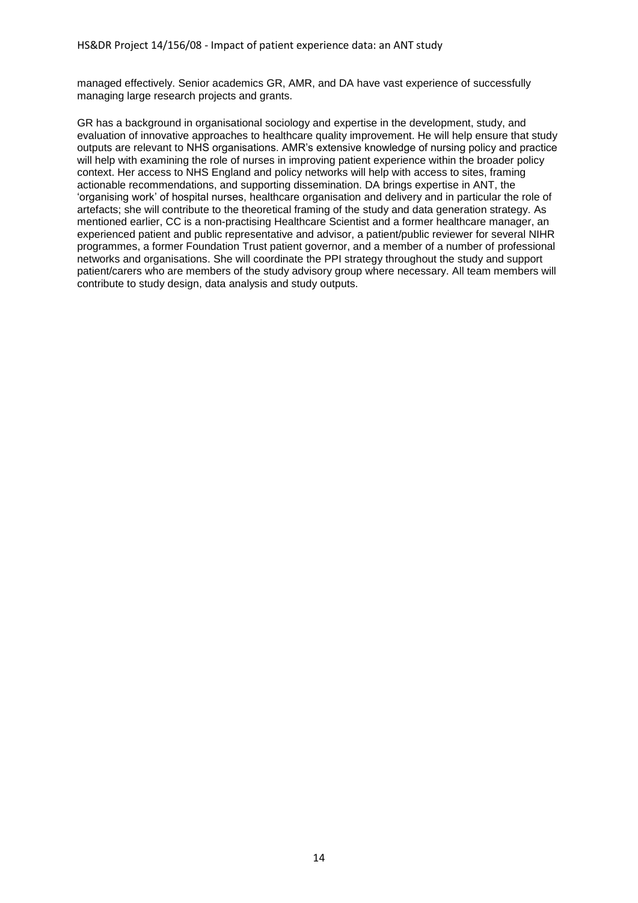managed effectively. Senior academics GR, AMR, and DA have vast experience of successfully managing large research projects and grants.

GR has a background in organisational sociology and expertise in the development, study, and evaluation of innovative approaches to healthcare quality improvement. He will help ensure that study outputs are relevant to NHS organisations. AMR's extensive knowledge of nursing policy and practice will help with examining the role of nurses in improving patient experience within the broader policy context. Her access to NHS England and policy networks will help with access to sites, framing actionable recommendations, and supporting dissemination. DA brings expertise in ANT, the 'organising work' of hospital nurses, healthcare organisation and delivery and in particular the role of artefacts; she will contribute to the theoretical framing of the study and data generation strategy. As mentioned earlier, CC is a non-practising Healthcare Scientist and a former healthcare manager, an experienced patient and public representative and advisor, a patient/public reviewer for several NIHR programmes, a former Foundation Trust patient governor, and a member of a number of professional networks and organisations. She will coordinate the PPI strategy throughout the study and support patient/carers who are members of the study advisory group where necessary. All team members will contribute to study design, data analysis and study outputs.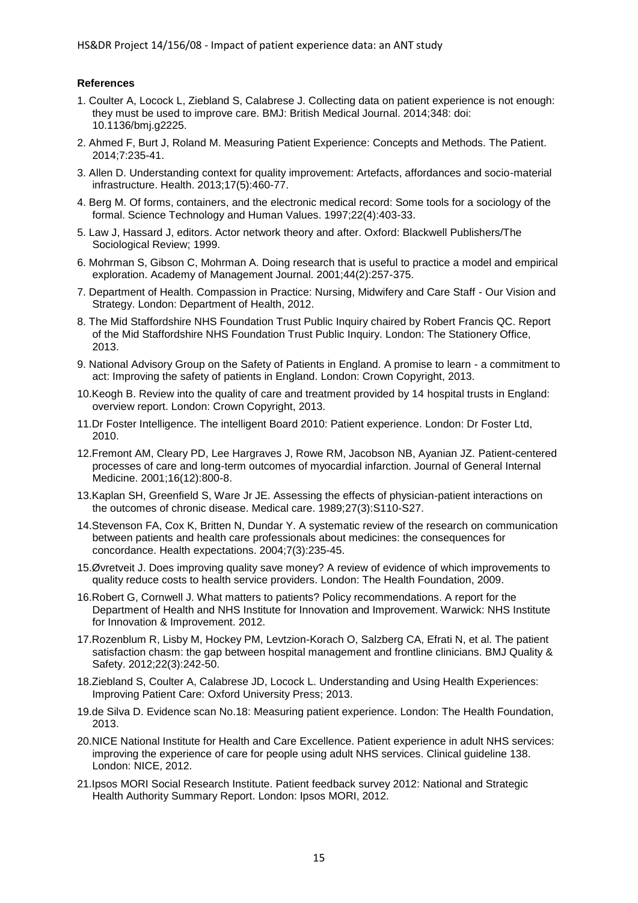# **References**

- 1. Coulter A, Locock L, Ziebland S, Calabrese J. Collecting data on patient experience is not enough: they must be used to improve care. BMJ: British Medical Journal. 2014;348: doi: 10.1136/bmj.g2225.
- 2. Ahmed F, Burt J, Roland M. Measuring Patient Experience: Concepts and Methods. The Patient. 2014;7:235-41.
- 3. Allen D. Understanding context for quality improvement: Artefacts, affordances and socio-material infrastructure. Health. 2013;17(5):460-77.
- 4. Berg M. Of forms, containers, and the electronic medical record: Some tools for a sociology of the formal. Science Technology and Human Values. 1997;22(4):403-33.
- 5. Law J, Hassard J, editors. Actor network theory and after. Oxford: Blackwell Publishers/The Sociological Review; 1999.
- 6. Mohrman S, Gibson C, Mohrman A. Doing research that is useful to practice a model and empirical exploration. Academy of Management Journal. 2001;44(2):257-375.
- 7. Department of Health. Compassion in Practice: Nursing, Midwifery and Care Staff Our Vision and Strategy. London: Department of Health, 2012.
- 8. The Mid Staffordshire NHS Foundation Trust Public Inquiry chaired by Robert Francis QC. Report of the Mid Staffordshire NHS Foundation Trust Public Inquiry. London: The Stationery Office, 2013.
- 9. National Advisory Group on the Safety of Patients in England. A promise to learn a commitment to act: Improving the safety of patients in England. London: Crown Copyright, 2013.
- 10.Keogh B. Review into the quality of care and treatment provided by 14 hospital trusts in England: overview report. London: Crown Copyright, 2013.
- 11.Dr Foster Intelligence. The intelligent Board 2010: Patient experience. London: Dr Foster Ltd, 2010.
- 12.Fremont AM, Cleary PD, Lee Hargraves J, Rowe RM, Jacobson NB, Ayanian JZ. Patient-centered processes of care and long-term outcomes of myocardial infarction. Journal of General Internal Medicine. 2001;16(12):800-8.
- 13.Kaplan SH, Greenfield S, Ware Jr JE. Assessing the effects of physician-patient interactions on the outcomes of chronic disease. Medical care. 1989;27(3):S110-S27.
- 14.Stevenson FA, Cox K, Britten N, Dundar Y. A systematic review of the research on communication between patients and health care professionals about medicines: the consequences for concordance. Health expectations. 2004;7(3):235-45.
- 15.Øvretveit J. Does improving quality save money? A review of evidence of which improvements to quality reduce costs to health service providers. London: The Health Foundation, 2009.
- 16.Robert G, Cornwell J. What matters to patients? Policy recommendations. A report for the Department of Health and NHS Institute for Innovation and Improvement. Warwick: NHS Institute for Innovation & Improvement. 2012.
- 17.Rozenblum R, Lisby M, Hockey PM, Levtzion-Korach O, Salzberg CA, Efrati N, et al. The patient satisfaction chasm: the gap between hospital management and frontline clinicians. BMJ Quality & Safety. 2012;22(3):242-50.
- 18.Ziebland S, Coulter A, Calabrese JD, Locock L. Understanding and Using Health Experiences: Improving Patient Care: Oxford University Press; 2013.
- 19.de Silva D. Evidence scan No.18: Measuring patient experience. London: The Health Foundation, 2013.
- 20.NICE National Institute for Health and Care Excellence. Patient experience in adult NHS services: improving the experience of care for people using adult NHS services. Clinical guideline 138. London: NICE, 2012.
- 21.Ipsos MORI Social Research Institute. Patient feedback survey 2012: National and Strategic Health Authority Summary Report. London: Ipsos MORI, 2012.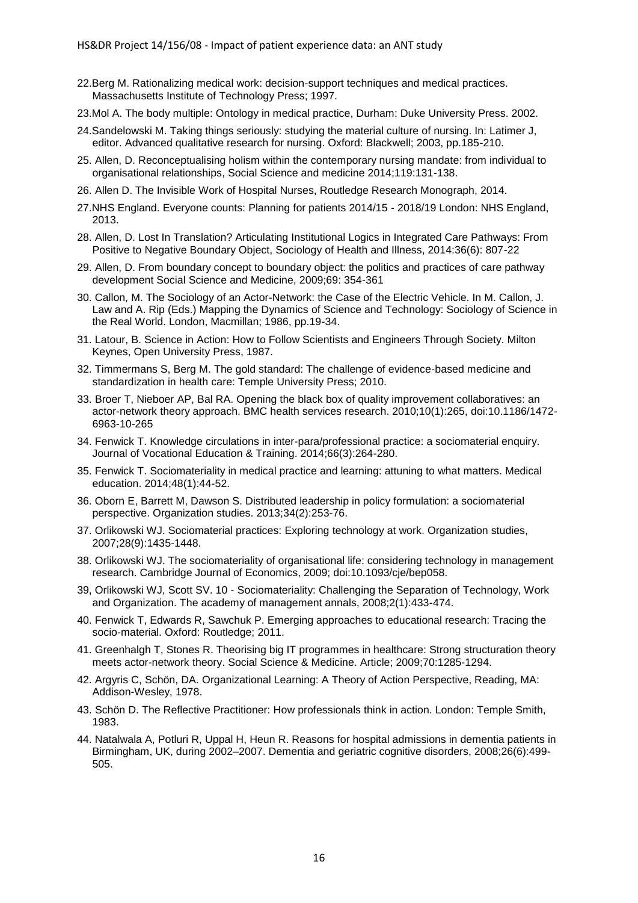- 22.Berg M. Rationalizing medical work: decision-support techniques and medical practices. Massachusetts Institute of Technology Press; 1997.
- 23.Mol A. The body multiple: Ontology in medical practice, Durham: Duke University Press. 2002.
- 24.Sandelowski M. Taking things seriously: studying the material culture of nursing. In: Latimer J, editor. Advanced qualitative research for nursing. Oxford: Blackwell; 2003, pp.185-210.
- 25. Allen, D. Reconceptualising holism within the contemporary nursing mandate: from individual to organisational relationships, Social Science and medicine 2014;119:131-138.
- 26. Allen D. The Invisible Work of Hospital Nurses, Routledge Research Monograph, 2014.
- 27.NHS England. Everyone counts: Planning for patients 2014/15 2018/19 London: NHS England, 2013.
- 28. Allen, D. Lost In Translation? Articulating Institutional Logics in Integrated Care Pathways: From Positive to Negative Boundary Object, Sociology of Health and Illness, 2014:36(6): 807-22
- 29. Allen, D. From boundary concept to boundary object: the politics and practices of care pathway development Social Science and Medicine, 2009;69: 354-361
- 30. Callon, M. The Sociology of an Actor-Network: the Case of the Electric Vehicle. In M. Callon, J. Law and A. Rip (Eds.) Mapping the Dynamics of Science and Technology: Sociology of Science in the Real World. London, Macmillan; 1986, pp.19-34.
- 31. Latour, B. Science in Action: How to Follow Scientists and Engineers Through Society. Milton Keynes, Open University Press, 1987.
- 32. Timmermans S, Berg M. The gold standard: The challenge of evidence-based medicine and standardization in health care: Temple University Press; 2010.
- 33. Broer T, Nieboer AP, Bal RA. Opening the black box of quality improvement collaboratives: an actor-network theory approach. BMC health services research. 2010;10(1):265, doi:10.1186/1472- 6963-10-265
- 34. Fenwick T. Knowledge circulations in inter-para/professional practice: a sociomaterial enquiry. Journal of Vocational Education & Training. 2014;66(3):264-280.
- 35. Fenwick T. Sociomateriality in medical practice and learning: attuning to what matters. Medical education. 2014;48(1):44-52.
- 36. Oborn E, Barrett M, Dawson S. Distributed leadership in policy formulation: a sociomaterial perspective. Organization studies. 2013;34(2):253-76.
- 37. Orlikowski WJ. Sociomaterial practices: Exploring technology at work. Organization studies, 2007;28(9):1435-1448.
- 38. Orlikowski WJ. The sociomateriality of organisational life: considering technology in management research. Cambridge Journal of Economics, 2009; doi:10.1093/cje/bep058.
- 39, Orlikowski WJ, Scott SV. 10 Sociomateriality: Challenging the Separation of Technology, Work and Organization. The academy of management annals, 2008;2(1):433-474.
- 40. Fenwick T, Edwards R, Sawchuk P. Emerging approaches to educational research: Tracing the socio-material. Oxford: Routledge; 2011.
- 41. Greenhalgh T, Stones R. Theorising big IT programmes in healthcare: Strong structuration theory meets actor-network theory. Social Science & Medicine. Article; 2009;70:1285-1294.
- 42. Argyris C, Schön, DA. Organizational Learning: A Theory of Action Perspective, Reading, MA: Addison-Wesley, 1978.
- 43. Schön D. The Reflective Practitioner: How professionals think in action. London: Temple Smith, 1983.
- 44. Natalwala A, Potluri R, Uppal H, Heun R. Reasons for hospital admissions in dementia patients in Birmingham, UK, during 2002–2007. Dementia and geriatric cognitive disorders, 2008;26(6):499- 505.